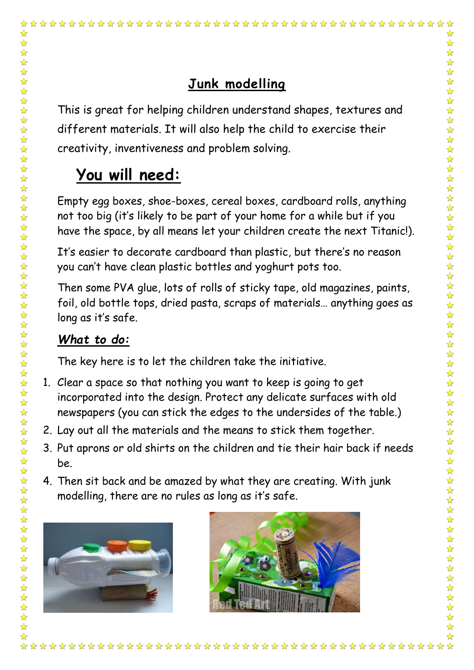## **Junk modelling**

This is great for helping children understand shapes, textures and different materials. It will also help the child to exercise their creativity, inventiveness and problem solving.

# **You will need:**

Empty egg boxes, shoe-boxes, cereal boxes, cardboard rolls, anything not too big (it's likely to be part of your home for a while but if you have the space, by all means let your children create the next Titanic!).

It's easier to decorate cardboard than plastic, but there's no reason you can't have clean plastic bottles and yoghurt pots too.

Then some PVA glue, lots of rolls of sticky tape, old magazines, paints, foil, old bottle tops, dried pasta, scraps of materials… anything goes as long as it's safe.

### *What to do:*

✿ ☆

 $\frac{1}{\sqrt{2}}$ 

The key here is to let the children take the initiative.

- 1. Clear a space so that nothing you want to keep is going to get incorporated into the design. Protect any delicate surfaces with old newspapers (you can stick the edges to the undersides of the table.)
- 2. Lay out all the materials and the means to stick them together.
- 3. Put aprons or old shirts on the children and tie their hair back if needs be.
- 4. Then sit back and be amazed by what they are creating. With junk modelling, there are no rules as long as it's safe.



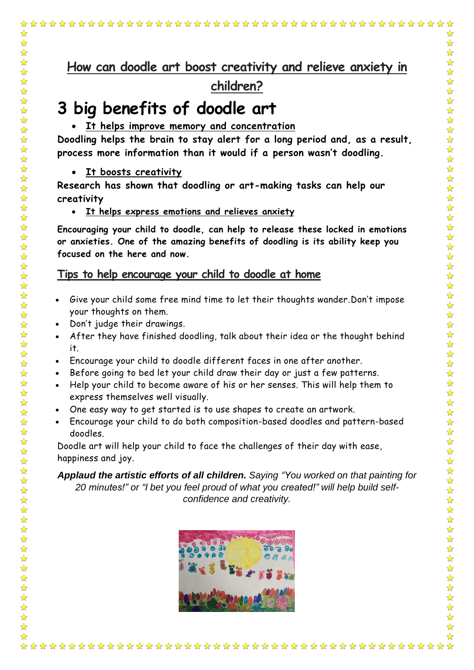# **3 big benefits of doodle art**

#### • **It helps improve memory and concentration**

**Doodling helps the brain to stay alert for a long period and, as a result, process more information than it would if a person wasn't doodling.**

#### • **It boosts creativity**

☆

 $\frac{1}{\sqrt{2}}$  $\frac{1}{\sqrt{2}}$ 

 $\frac{1}{\sqrt{2}}$ 

☆  $\frac{1}{\sqrt{2}}$ 冷冷  $\frac{1}{\sqrt{2}}$  $\frac{1}{\sqrt{2}}$  $\frac{1}{\sqrt{2}}$  $\frac{1}{\sqrt{2}}$ 琴琴: ☆  $\frac{1}{\sqrt{2}}$  $\frac{1}{\sqrt{2}}$  $\frac{1}{\sqrt{2}}$  $\frac{1}{\sqrt{2}}$  $\frac{1}{\sqrt{2}}$ 

222222

 $\frac{1}{\sqrt{2}}$  $\frac{1}{\sqrt{2}}$ ☆ 55年  $\frac{1}{\sqrt{2}}$ 冷冷

琴琴琴

毕毕  $\frac{1}{2}$ 

琴琴琴

 $\frac{1}{\sqrt{2}}$  $\frac{1}{2}$ ☆ 55年 ☆  $\frac{1}{2}$ ☆

 $\frac{1}{\sqrt{2}}$  $\frac{1}{\mathbf{k}}$  $\frac{1}{\sqrt{2}}$  **Research has shown that doodling or [art-making](https://psychcentral.com/blog/get-out-the-crayons-study-shows-doodling-boosts-your-brain-power/) tasks can help our [creativity](https://psychcentral.com/blog/get-out-the-crayons-study-shows-doodling-boosts-your-brain-power/)**

#### • **It helps express emotions and relieves anxiety**

**Encouraging your child to doodle, can help to release these locked in emotions or anxieties. One of the amazing benefits of doodling is its ability keep you focused on the here and now.**

#### **Tips to help encourage your child to doodle at home**

- Give your child some free mind time to let their thoughts wander.Don't impose your thoughts on them.
- Don't judge their drawings.
- After they have finished doodling, talk about their idea or the thought behind it.
- Encourage your child to doodle different faces in one after another.
- Before going to bed let your child draw their day or just a few patterns.
- Help your child to become aware of his or her senses. This will help them to express themselves well visually.
- One easy way to get started is to use shapes to create an artwork.
- Encourage your child to do both composition-based doodles and pattern-based doodles.

Doodle art will help your child to face the challenges of their day with ease, happiness and joy.

*Applaud the artistic efforts of all children. Saying "You worked on that painting for 20 minutes!" or "I bet you feel proud of what you created!" will help build selfconfidence and creativity.*